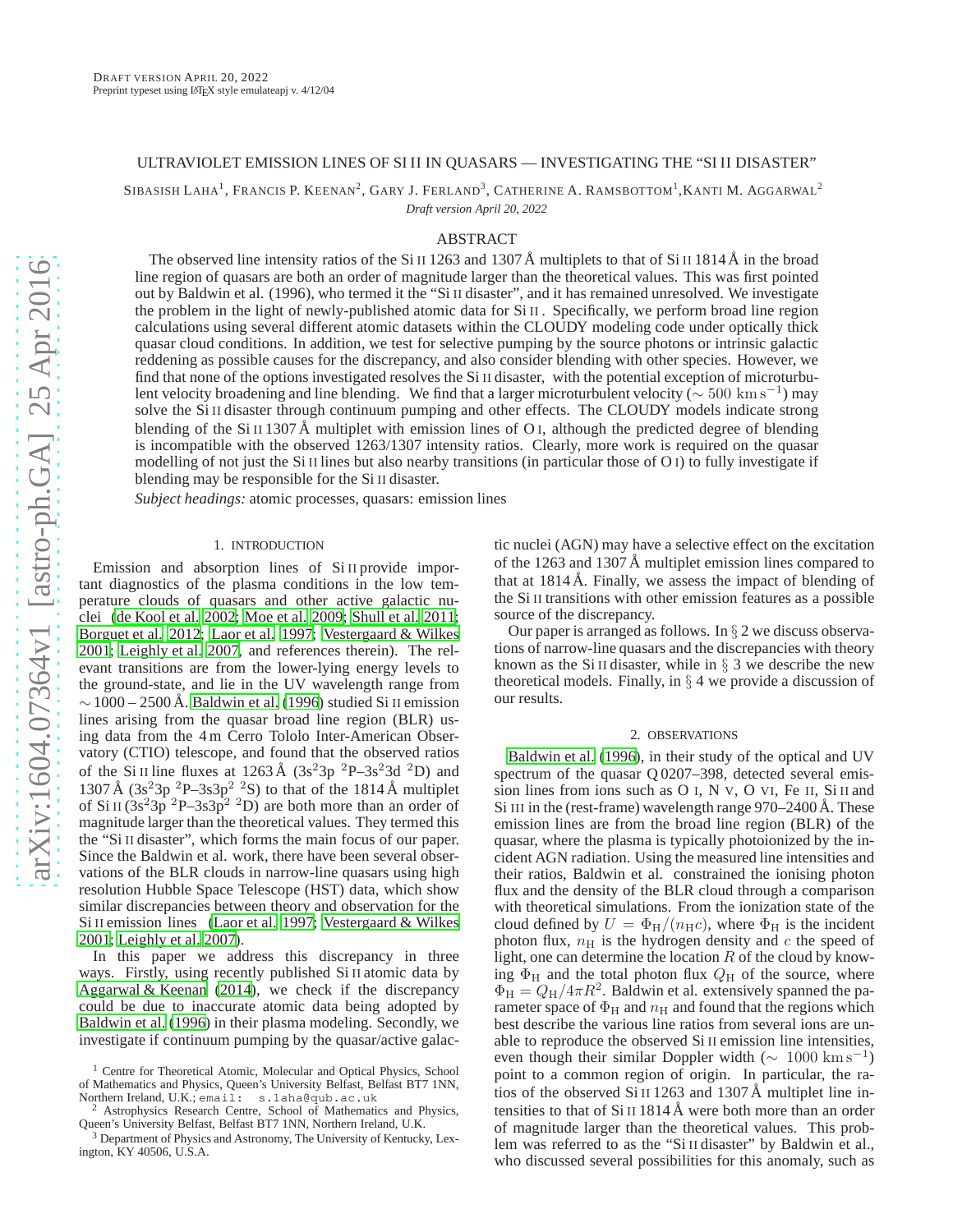## ULTRAVIOLET EMISSION LINES OF SI II IN QUASARS — INVESTIGATING THE "SI II DISASTER"

SIBASISH LAHA<sup>1</sup>, Francis P. Keenan<sup>2</sup>, Gary J. Ferland<sup>3</sup>, Catherine A. Ramsbottom<sup>1</sup>, Kanti M. Aggarwal<sup>2</sup>

*Draft version April 20, 2022*

# ABSTRACT

The observed line intensity ratios of the Si II 1263 and 1307 Å multiplets to that of Si II 1814 Å in the broad line region of quasars are both an order of magnitude larger than the theoretical values. This was first pointed out by Baldwin et al. (1996), who termed it the "Si II disaster", and it has remained unresolved. We investigate the problem in the light of newly-published atomic data for Si II . Specifically, we perform broad line region calculations using several different atomic datasets within the CLOUDY modeling code under optically thick quasar cloud conditions. In addition, we test for selective pumping by the source photons or intrinsic galactic reddening as possible causes for the discrepancy, and also consider blending with other species. However, we find that none of the options investigated resolves the Si II disaster, with the potential exception of microturbulent velocity broadening and line blending. We find that a larger microturbulent velocity ( $\sim 500\ \rm{km\,s^{-1}}$ ) may solve the Si II disaster through continuum pumping and other effects. The CLOUDY models indicate strong blending of the Si II 1307 Å multiplet with emission lines of O<sub>I</sub>, although the predicted degree of blending is incompatible with the observed 1263/1307 intensity ratios. Clearly, more work is required on the quasar modelling of not just the Si II lines but also nearby transitions (in particular those of  $O$  I) to fully investigate if blending may be responsible for the Si II disaster.

*Subject headings:* atomic processes, quasars: emission lines

#### 1. INTRODUCTION

Emission and absorption lines of Si II provide important diagnostics of the plasma conditions in the low temperature clouds of quasars and other active galactic nuclei [\(de Kool et al. 2002](#page-3-0); [Moe et al. 2009;](#page-3-1) [Shull et al. 2011;](#page-3-2) [Borguet et al. 2012;](#page-3-3) [Laor et al. 1997;](#page-3-4) [Vestergaard & Wilkes](#page-3-5) [2001;](#page-3-5) [Leighly et al. 2007,](#page-3-6) and references therein). The relevant transitions are from the lower-lying energy levels to the ground-state, and lie in the UV wavelength range from  $\sim$  1000 – 2500 Å. [Baldwin et al. \(1996\)](#page-3-7) studied Si II emission lines arising from the quasar broad line region (BLR) using data from the 4 m Cerro Tololo Inter-American Observatory (CTIO) telescope, and found that the observed ratios of the Si II line fluxes at 1263 Å  $(3s<sup>2</sup>3p<sup>2</sup>P-3s<sup>2</sup>3d<sup>2</sup>D)$  and 1307 Å  $(3s<sup>2</sup>3p<sup>2</sup>P-3s3p<sup>2</sup>2S)$  to that of the 1814 Å multiplet of Si II  $(3s^23p^2P-3s3p^2P)$  are both more than an order of magnitude larger than the theoretical values. They termed this the "Si II disaster", which forms the main focus of our paper. Since the Baldwin et al. work, there have been several observations of the BLR clouds in narrow-line quasars using high resolution Hubble Space Telescope (HST) data, which show similar discrepancies between theory and observation for the Si II emission lines [\(Laor et al. 1997;](#page-3-4) [Vestergaard & Wilkes](#page-3-5) [2001;](#page-3-5) [Leighly et al. 2007](#page-3-6)).

In this paper we address this discrepancy in three ways. Firstly, using recently published Si II atomic data by [Aggarwal & Keenan \(2014\)](#page-3-8), we check if the discrepancy could be due to inaccurate atomic data being adopted by [Baldwin et al. \(1996\)](#page-3-7) in their plasma modeling. Secondly, we investigate if continuum pumping by the quasar/active galactic nuclei (AGN) may have a selective effect on the excitation of the 1263 and 1307 Å multiplet emission lines compared to that at  $1814 \text{ Å}$ . Finally, we assess the impact of blending of the Si II transitions with other emission features as a possible source of the discrepancy.

Our paper is arranged as follows. In  $\S 2$  we discuss observations of narrow-line quasars and the discrepancies with theory known as the Si II disaster, while in  $\S$  3 we describe the new theoretical models. Finally, in  $\S 4$  we provide a discussion of our results.

#### 2. OBSERVATIONS

[Baldwin et al.](#page-3-7) [\(1996\)](#page-3-7), in their study of the optical and UV spectrum of the quasar Q 0207–398, detected several emission lines from ions such as O I, N V, O VI, Fe II, Si II and Si III in the (rest-frame) wavelength range  $970-2400$  Å. These emission lines are from the broad line region (BLR) of the quasar, where the plasma is typically photoionized by the incident AGN radiation. Using the measured line intensities and their ratios, Baldwin et al. constrained the ionising photon flux and the density of the BLR cloud through a comparison with theoretical simulations. From the ionization state of the cloud defined by  $U = \Phi_H/(n_H c)$ , where  $\Phi_H$  is the incident photon flux,  $n<sub>H</sub>$  is the hydrogen density and c the speed of light, one can determine the location  $R$  of the cloud by knowing  $\Phi_H$  and the total photon flux  $Q_H$  of the source, where  $\Phi_H = Q_H/4\pi R^2$ . Baldwin et al. extensively spanned the parameter space of  $\Phi_H$  and  $n_H$  and found that the regions which best describe the various line ratios from several ions are unable to reproduce the observed Si II emission line intensities, even though their similar Doppler width  $(\sim 1000 \text{ km s}^{-1})$ point to a common region of origin. In particular, the ratios of the observed  $Si II 1263$  and  $1307 \text{ Å}$  multiplet line intensities to that of  $Si$  II 1814 Å were both more than an order of magnitude larger than the theoretical values. This problem was referred to as the "Si II disaster" by Baldwin et al., who discussed several possibilities for this anomaly, such as

<sup>&</sup>lt;sup>1</sup> Centre for Theoretical Atomic, Molecular and Optical Physics, School of Mathematics and Physics, Queen's University Belfast, Belfast BT7 1NN, Northern Ireland, U.K.; email: s.laha@qub.ac.uk

Astrophysics Research Centre, School of Mathematics and Physics, Queen's University Belfast, Belfast BT7 1NN, Northern Ireland, U.K.

<sup>3</sup> Department of Physics and Astronomy, The University of Kentucky, Lexington, KY 40506, U.S.A.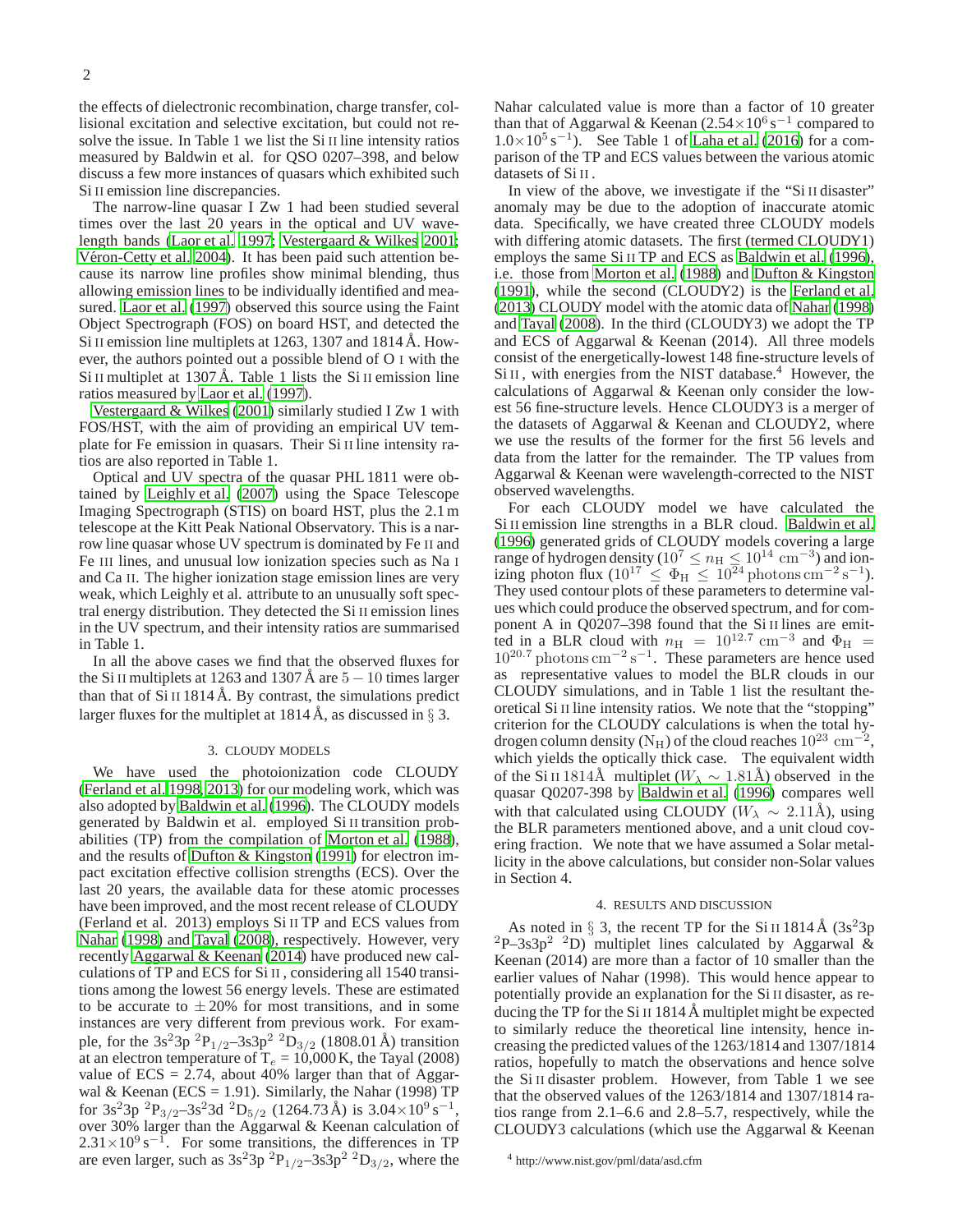the effects of dielectronic recombination, charge transfer, collisional excitation and selective excitation, but could not resolve the issue. In Table 1 we list the Si II line intensity ratios measured by Baldwin et al. for QSO 0207–398, and below discuss a few more instances of quasars which exhibited such Si II emission line discrepancies.

The narrow-line quasar I Zw 1 had been studied several times over the last 20 years in the optical and UV wavelength bands [\(Laor et al. 1997;](#page-3-4) [Vestergaard & Wilkes 2001;](#page-3-5) Véron-Cetty et al. 2004). It has been paid such attention because its narrow line profiles show minimal blending, thus allowing emission lines to be individually identified and measured. [Laor et al. \(1997](#page-3-4)) observed this source using the Faint Object Spectrograph (FOS) on board HST, and detected the Si II emission line multiplets at  $1263$ ,  $1307$  and  $1814$  Å. However, the authors pointed out a possible blend of O I with the Si II multiplet at  $1307 \text{ Å}$ . Table 1 lists the Si II emission line ratios measured by [Laor et al. \(1997\)](#page-3-4).

[Vestergaard & Wilkes \(2001\)](#page-3-5) similarly studied I Zw 1 with FOS/HST, with the aim of providing an empirical UV template for Fe emission in quasars. Their Si II line intensity ratios are also reported in Table 1.

Optical and UV spectra of the quasar PHL 1811 were obtained by [Leighly et al.](#page-3-6) [\(2007\)](#page-3-6) using the Space Telescope Imaging Spectrograph (STIS) on board HST, plus the 2.1 m telescope at the Kitt Peak National Observatory. This is a narrow line quasar whose UV spectrum is dominated by Fe II and Fe III lines, and unusual low ionization species such as Na I and Ca II. The higher ionization stage emission lines are very weak, which Leighly et al. attribute to an unusually soft spectral energy distribution. They detected the Si II emission lines in the UV spectrum, and their intensity ratios are summarised in Table 1.

In all the above cases we find that the observed fluxes for the Si II multiplets at 1263 and 1307 Å are  $5 - 10$  times larger than that of  $Si$  II 1814 Å. By contrast, the simulations predict larger fluxes for the multiplet at  $1814 \text{ Å}$ , as discussed in § 3.

### 3. CLOUDY MODELS

We have used the photoionization code CLOUDY [\(Ferland et al. 1998,](#page-3-10) [2013](#page-3-11)) for our modeling work, which was also adopted by [Baldwin et al.](#page-3-7) [\(1996\)](#page-3-7). The CLOUDY models generated by Baldwin et al. employed Si II transition probabilities (TP) from the compilation of [Morton et al. \(1988\)](#page-3-12), and the results of [Dufton & Kingston \(1991](#page-3-13)) for electron impact excitation effective collision strengths (ECS). Over the last 20 years, the available data for these atomic processes have been improved, and the most recent release of CLOUDY (Ferland et al. 2013) employs Si II TP and ECS values from [Nahar \(1998\)](#page-3-14) and [Tayal \(2008\)](#page-3-15), respectively. However, very recently [Aggarwal & Keenan \(2014\)](#page-3-8) have produced new calculations of TP and ECS for Si II , considering all 1540 transitions among the lowest 56 energy levels. These are estimated to be accurate to  $\pm 20\%$  for most transitions, and in some instances are very different from previous work. For example, for the 3s<sup>2</sup>3p<sup>2</sup>P<sub>1/2</sub>-3s3p<sup>2</sup><sup>2</sup>D<sub>3/2</sub> (1808.01 Å) transition at an electron temperature of T $_e$  = 10,000 K, the Tayal (2008) value of  $ECS = 2.74$ , about 40% larger than that of Aggarwal & Keenan (ECS = 1.91). Similarly, the Nahar (1998) TP for 3s<sup>2</sup>3p <sup>2</sup>P<sub>3/2</sub>-3s<sup>2</sup>3d <sup>2</sup>D<sub>5/2</sub> (1264.73 Å) is 3.04×10<sup>9</sup> s<sup>-1</sup>, over 30% larger than the Aggarwal & Keenan calculation of  $2.31 \times 10^{9}$  s<sup>-1</sup>. For some transitions, the differences in TP are even larger, such as  $3s^23p^2P_{1/2}$ –3s3p<sup>2</sup> $2D_{3/2}$ , where the

Nahar calculated value is more than a factor of 10 greater than that of Aggarwal & Keenan  $(2.54 \times 10^6 \text{ s}^{-1})$  compared to  $1.0\times10^5$  s<sup>-1</sup>). See Table 1 of [Laha et al. \(2016](#page-3-16)) for a comparison of the TP and ECS values between the various atomic datasets of Si II .

In view of the above, we investigate if the "Si II disaster" anomaly may be due to the adoption of inaccurate atomic data. Specifically, we have created three CLOUDY models with differing atomic datasets. The first (termed CLOUDY1) employs the same Si II TP and ECS as [Baldwin et al. \(1996](#page-3-7)), i.e. those from [Morton et al. \(1988\)](#page-3-12) and [Dufton & Kingston](#page-3-13) [\(1991\)](#page-3-13), while the second (CLOUDY2) is the [Ferland et al.](#page-3-11) [\(2013\)](#page-3-11) CLOUDY model with the atomic data of [Nahar](#page-3-14) [\(1998\)](#page-3-14) and [Tayal \(2008\)](#page-3-15). In the third (CLOUDY3) we adopt the TP and ECS of Aggarwal & Keenan (2014). All three models consist of the energetically-lowest 148 fine-structure levels of  $Si II$ , with energies from the NIST database.<sup>4</sup> However, the calculations of Aggarwal & Keenan only consider the lowest 56 fine-structure levels. Hence CLOUDY3 is a merger of the datasets of Aggarwal & Keenan and CLOUDY2, where we use the results of the former for the first 56 levels and data from the latter for the remainder. The TP values from Aggarwal & Keenan were wavelength-corrected to the NIST observed wavelengths.

For each CLOUDY model we have calculated the Si II emission line strengths in a BLR cloud. [Baldwin et al.](#page-3-7) [\(1996\)](#page-3-7) generated grids of CLOUDY models covering a large range of hydrogen density ( $10^7 \le n_H \le 10^{14}$  cm<sup>-3</sup>) and ionizing photon flux  $(10^{17} \le \Phi_H \le 10^{24}$  photons cm<sup>-2</sup> s<sup>-1</sup>). They used contour plots of these parameters to determine values which could produce the observed spectrum, and for component A in Q0207–398 found that the Si II lines are emitted in a BLR cloud with  $n_{\rm H}$  = 10<sup>12.7</sup> cm<sup>-3</sup> and  $\Phi_{\rm H}$  =  $10^{20.7}$  photons cm<sup>-2</sup> s<sup>-1</sup>. These parameters are hence used as representative values to model the BLR clouds in our CLOUDY simulations, and in Table 1 list the resultant theoretical Si II line intensity ratios. We note that the "stopping" criterion for the CLOUDY calculations is when the total hydrogen column density (N<sub>H</sub>) of the cloud reaches  $10^{23}$  cm<sup>-2</sup>, which yields the optically thick case. The equivalent width of the Si II 1814Å multiplet ( $W_{\lambda} \sim 1.81$ Å) observed in the quasar Q0207-398 by [Baldwin et al. \(1996\)](#page-3-7) compares well with that calculated using CLOUDY ( $W_\lambda \sim 2.11$ Å), using the BLR parameters mentioned above, and a unit cloud covering fraction. We note that we have assumed a Solar metallicity in the above calculations, but consider non-Solar values in Section 4.

#### 4. RESULTS AND DISCUSSION

As noted in  $\S$  3, the recent TP for the Si II 1814 Å (3s<sup>2</sup>3p)  ${}^{2}P-3s3p^{2}$   ${}^{2}D$ ) multiplet lines calculated by Aggarwal & Keenan (2014) are more than a factor of 10 smaller than the earlier values of Nahar (1998). This would hence appear to potentially provide an explanation for the Si II disaster, as reducing the TP for the Si II 1814  $\AA$  multiplet might be expected to similarly reduce the theoretical line intensity, hence increasing the predicted values of the 1263/1814 and 1307/1814 ratios, hopefully to match the observations and hence solve the Si II disaster problem. However, from Table 1 we see that the observed values of the 1263/1814 and 1307/1814 ratios range from 2.1–6.6 and 2.8–5.7, respectively, while the CLOUDY3 calculations (which use the Aggarwal & Keenan

<sup>4</sup> http://www.nist.gov/pml/data/asd.cfm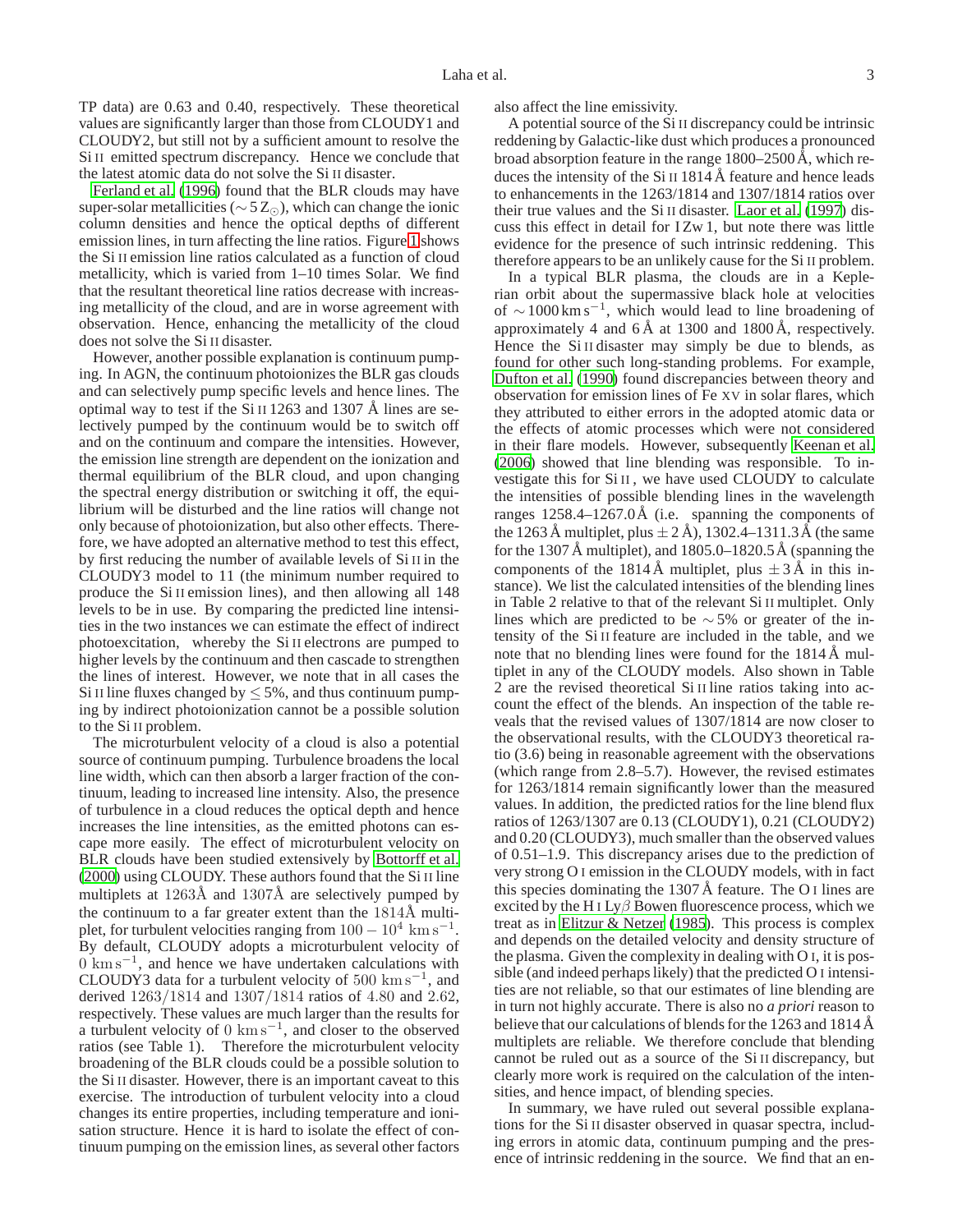TP data) are 0.63 and 0.40, respectively. These theoretical values are significantly larger than those from CLOUDY1 and CLOUDY2, but still not by a sufficient amount to resolve the Si II emitted spectrum discrepancy. Hence we conclude that the latest atomic data do not solve the Si II disaster.

[Ferland et al.](#page-3-17) [\(1996\)](#page-3-17) found that the BLR clouds may have super-solar metallicities ( $\sim$  5 Z<sub>⊙</sub>), which can change the ionic column densities and hence the optical depths of different emission lines, in turn affecting the line ratios. Figure [1](#page-3-18) shows the Si II emission line ratios calculated as a function of cloud metallicity, which is varied from 1–10 times Solar. We find that the resultant theoretical line ratios decrease with increasing metallicity of the cloud, and are in worse agreement with observation. Hence, enhancing the metallicity of the cloud does not solve the Si II disaster.

However, another possible explanation is continuum pumping. In AGN, the continuum photoionizes the BLR gas clouds and can selectively pump specific levels and hence lines. The optimal way to test if the Si II 1263 and 1307  $\AA$  lines are selectively pumped by the continuum would be to switch off and on the continuum and compare the intensities. However, the emission line strength are dependent on the ionization and thermal equilibrium of the BLR cloud, and upon changing the spectral energy distribution or switching it off, the equilibrium will be disturbed and the line ratios will change not only because of photoionization, but also other effects. Therefore, we have adopted an alternative method to test this effect, by first reducing the number of available levels of Si II in the CLOUDY3 model to 11 (the minimum number required to produce the Si II emission lines), and then allowing all 148 levels to be in use. By comparing the predicted line intensities in the two instances we can estimate the effect of indirect photoexcitation, whereby the Si II electrons are pumped to higher levels by the continuum and then cascade to strengthen the lines of interest. However, we note that in all cases the Si II line fluxes changed by  $\leq 5\%$ , and thus continuum pumping by indirect photoionization cannot be a possible solution to the Si II problem.

The microturbulent velocity of a cloud is also a potential source of continuum pumping. Turbulence broadens the local line width, which can then absorb a larger fraction of the continuum, leading to increased line intensity. Also, the presence of turbulence in a cloud reduces the optical depth and hence increases the line intensities, as the emitted photons can escape more easily. The effect of microturbulent velocity on BLR clouds have been studied extensively by [Bottorff et al.](#page-3-19) [\(2000](#page-3-19)) using CLOUDY. These authors found that the Si II line multiplets at  $1263\text{\AA}$  and  $1307\text{\AA}$  are selectively pumped by the continuum to a far greater extent than the  $1814\text{\AA}$  multiplet, for turbulent velocities ranging from  $100 - 10^4$  km s<sup>-1</sup>. By default, CLOUDY adopts a microturbulent velocity of  $0 \text{ km s}^{-1}$ , and hence we have undertaken calculations with CLOUDY3 data for a turbulent velocity of  $500 \text{ km s}^{-1}$ , and derived 1263/1814 and 1307/1814 ratios of 4.80 and 2.62, respectively. These values are much larger than the results for a turbulent velocity of  $0 \text{ km s}^{-1}$ , and closer to the observed ratios (see Table 1). Therefore the microturbulent velocity broadening of the BLR clouds could be a possible solution to the Si II disaster. However, there is an important caveat to this exercise. The introduction of turbulent velocity into a cloud changes its entire properties, including temperature and ionisation structure. Hence it is hard to isolate the effect of continuum pumping on the emission lines, as several other factors

also affect the line emissivity.

A potential source of the Si II discrepancy could be intrinsic reddening by Galactic-like dust which produces a pronounced broad absorption feature in the range  $1800-2500 \text{ Å}$ , which reduces the intensity of the Si II  $1814 \text{ Å}$  feature and hence leads to enhancements in the 1263/1814 and 1307/1814 ratios over their true values and the Si II disaster. [Laor et al.](#page-3-4) [\(1997\)](#page-3-4) discuss this effect in detail for I Zw 1, but note there was little evidence for the presence of such intrinsic reddening. This therefore appears to be an unlikely cause for the Si II problem.

In a typical BLR plasma, the clouds are in a Keplerian orbit about the supermassive black hole at velocities of  $\sim$  1000 km s<sup>-1</sup>, which would lead to line broadening of approximately 4 and  $6 \text{\AA}$  at 1300 and 1800  $\text{\AA}$ , respectively. Hence the Si II disaster may simply be due to blends, as found for other such long-standing problems. For example, [Dufton et al. \(1990\)](#page-3-20) found discrepancies between theory and observation for emission lines of Fe XV in solar flares, which they attributed to either errors in the adopted atomic data or the effects of atomic processes which were not considered in their flare models. However, subsequently [Keenan et al.](#page-3-21) [\(2006\)](#page-3-21) showed that line blending was responsible. To investigate this for Si II , we have used CLOUDY to calculate the intensities of possible blending lines in the wavelength ranges  $1258.4-1267.0\text{\AA}$  (i.e. spanning the components of the 1263 Å multiplet, plus  $\pm$  2 Å), 1302.4–1311.3 Å (the same for the 1307 Å multiplet), and  $1805.0-1820.5 \text{ Å}$  (spanning the components of the 1814 Å multiplet, plus  $\pm$  3 Å in this instance). We list the calculated intensities of the blending lines in Table 2 relative to that of the relevant Si II multiplet. Only lines which are predicted to be  $\sim$  5% or greater of the intensity of the Si II feature are included in the table, and we note that no blending lines were found for the  $1814 \text{\AA}$  multiplet in any of the CLOUDY models. Also shown in Table 2 are the revised theoretical Si II line ratios taking into account the effect of the blends. An inspection of the table reveals that the revised values of 1307/1814 are now closer to the observational results, with the CLOUDY3 theoretical ratio (3.6) being in reasonable agreement with the observations (which range from 2.8–5.7). However, the revised estimates for 1263/1814 remain significantly lower than the measured values. In addition, the predicted ratios for the line blend flux ratios of 1263/1307 are 0.13 (CLOUDY1), 0.21 (CLOUDY2) and 0.20 (CLOUDY3), much smaller than the observed values of 0.51–1.9. This discrepancy arises due to the prediction of very strong O I emission in the CLOUDY models, with in fact this species dominating the  $1307 \text{ Å}$  feature. The O  $\text{I}$  lines are excited by the H I  $Ly\beta$  Bowen fluorescence process, which we treat as in [Elitzur & Netzer](#page-3-22) [\(1985\)](#page-3-22). This process is complex and depends on the detailed velocity and density structure of the plasma. Given the complexity in dealing with O I, it is possible (and indeed perhaps likely) that the predicted O I intensities are not reliable, so that our estimates of line blending are in turn not highly accurate. There is also no *a priori* reason to believe that our calculations of blends for the 1263 and 1814 Å multiplets are reliable. We therefore conclude that blending cannot be ruled out as a source of the Si II discrepancy, but clearly more work is required on the calculation of the intensities, and hence impact, of blending species.

In summary, we have ruled out several possible explanations for the Si II disaster observed in quasar spectra, including errors in atomic data, continuum pumping and the presence of intrinsic reddening in the source. We find that an en-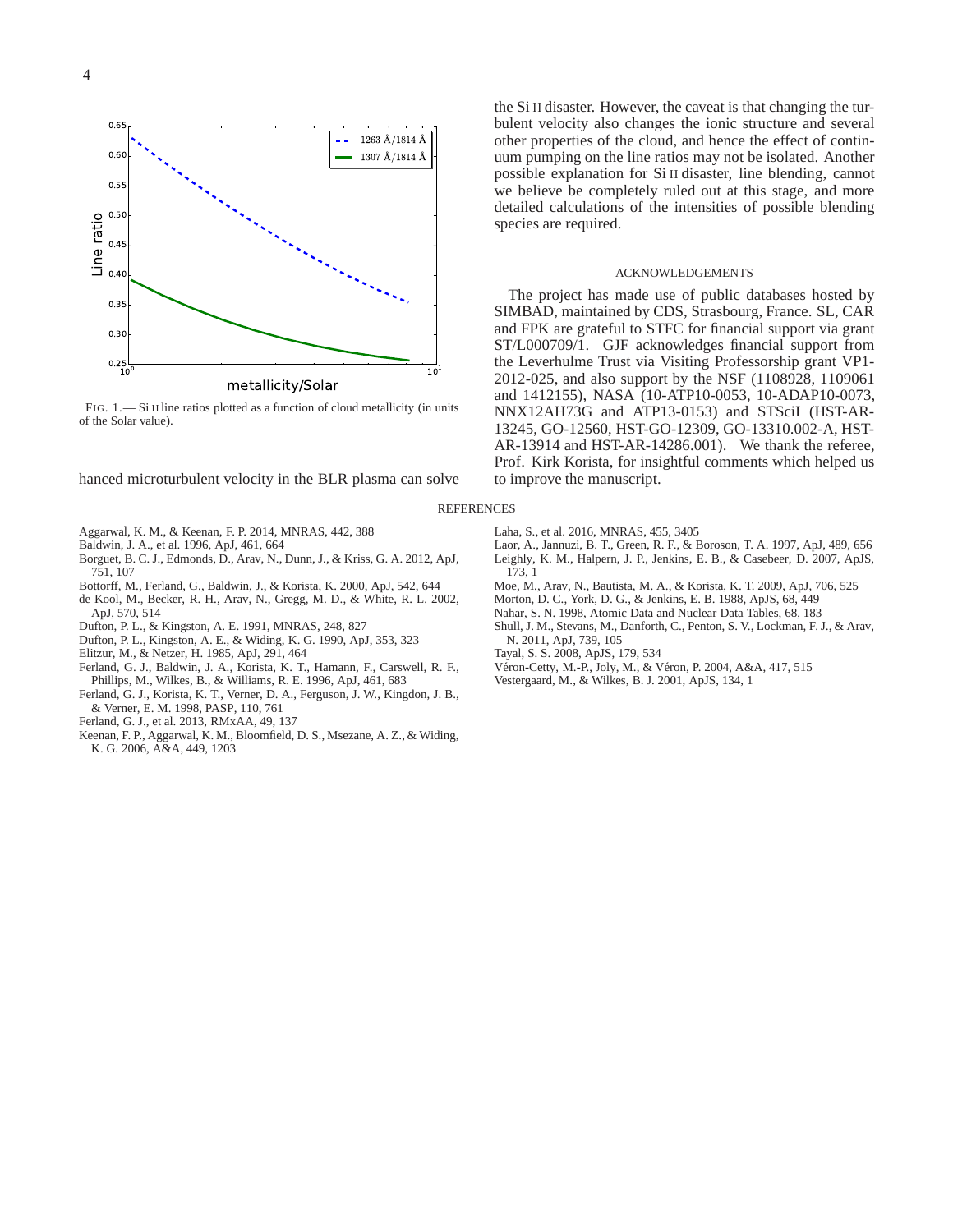

<span id="page-3-18"></span>FIG. 1.— Si II line ratios plotted as a function of cloud metallicity (in units of the Solar value).

hanced microturbulent velocity in the BLR plasma can solve

- <span id="page-3-8"></span>Aggarwal, K. M., & Keenan, F. P. 2014, MNRAS, 442, 388
- <span id="page-3-7"></span>Baldwin, J. A., et al. 1996, ApJ, 461, 664
- <span id="page-3-3"></span>Borguet, B. C. J., Edmonds, D., Arav, N., Dunn, J., & Kriss, G. A. 2012, ApJ,
- 751, 107 Bottorff, M., Ferland, G., Baldwin, J., & Korista, K. 2000, ApJ, 542, 644
- <span id="page-3-19"></span><span id="page-3-0"></span>de Kool, M., Becker, R. H., Arav, N., Gregg, M. D., & White, R. L. 2002, ApJ, 570, 514
- <span id="page-3-13"></span>Dufton, P. L., & Kingston, A. E. 1991, MNRAS, 248, 827
- <span id="page-3-20"></span>Dufton, P. L., Kingston, A. E., & Widing, K. G. 1990, ApJ, 353, 323
- <span id="page-3-22"></span>Elitzur, M., & Netzer, H. 1985, ApJ, 291, 464
- 
- <span id="page-3-17"></span>Ferland, G. J., Baldwin, J. A., Korista, K. T., Hamann, F., Carswell, R. F., Phillips, M., Wilkes, B., & Williams, R. E. 1996, ApJ, 461, 683
- <span id="page-3-10"></span>Ferland, G. J., Korista, K. T., Verner, D. A., Ferguson, J. W., Kingdon, J. B., & Verner, E. M. 1998, PASP, 110, 761
- <span id="page-3-11"></span>Ferland, G. J., et al. 2013, RMxAA, 49, 137
- <span id="page-3-21"></span>Keenan, F. P., Aggarwal, K. M., Bloomfield, D. S., Msezane, A. Z., & Widing, K. G. 2006, A&A, 449, 1203

the Si II disaster. However, the caveat is that changing the turbulent velocity also changes the ionic structure and several other properties of the cloud, and hence the effect of continuum pumping on the line ratios may not be isolated. Another possible explanation for Si II disaster, line blending, cannot we believe be completely ruled out at this stage, and more detailed calculations of the intensities of possible blending species are required.

#### ACKNOWLEDGEMENTS

The project has made use of public databases hosted by SIMBAD, maintained by CDS, Strasbourg, France. SL, CAR and FPK are grateful to STFC for financial support via grant ST/L000709/1. GJF acknowledges financial support from the Leverhulme Trust via Visiting Professorship grant VP1- 2012-025, and also support by the NSF (1108928, 1109061 and 1412155), NASA (10-ATP10-0053, 10-ADAP10-0073, NNX12AH73G and ATP13-0153) and STSciI (HST-AR-13245, GO-12560, HST-GO-12309, GO-13310.002-A, HST-AR-13914 and HST-AR-14286.001). We thank the referee, Prof. Kirk Korista, for insightful comments which helped us to improve the manuscript.

## **REFERENCES**

- <span id="page-3-16"></span>Laha, S., et al. 2016, MNRAS, 455, 3405
- <span id="page-3-4"></span>Laor, A., Jannuzi, B. T., Green, R. F., & Boroson, T. A. 1997, ApJ, 489, 656
- <span id="page-3-6"></span>Leighly, K. M., Halpern, J. P., Jenkins, E. B., & Casebeer, D. 2007, ApJS, 173, 1
- <span id="page-3-1"></span>Moe, M., Arav, N., Bautista, M. A., & Korista, K. T. 2009, ApJ, 706, 525
- <span id="page-3-12"></span>Morton, D. C., York, D. G., & Jenkins, E. B. 1988, ApJS, 68, 449
- <span id="page-3-14"></span>Nahar, S. N. 1998, Atomic Data and Nuclear Data Tables, 68, 183
- <span id="page-3-2"></span>Shull, J. M., Stevans, M., Danforth, C., Penton, S. V., Lockman, F. J., & Arav, N. 2011, ApJ, 739, 105
- <span id="page-3-15"></span>Tayal, S. S. 2008, ApJS, 179, 534
- <span id="page-3-9"></span>Véron-Cetty, M.-P., Joly, M., & Véron, P. 2004, A&A, 417, 515
- <span id="page-3-5"></span>Vestergaard, M., & Wilkes, B. J. 2001, ApJS, 134, 1